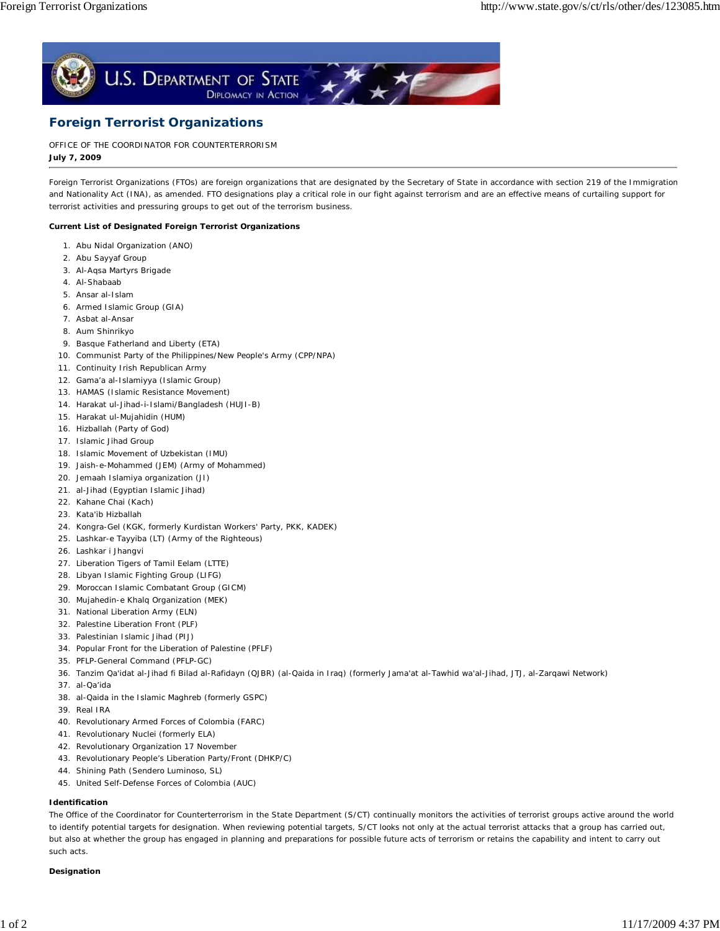

# **Foreign Terrorist Organizations**

**July 7, 2009** OFFICE OF THE COORDINATOR FOR COUNTERTERRORISM

Foreign Terrorist Organizations (FTOs) are foreign organizations that are designated by the Secretary of State in accordance with section 219 of the Immigration and Nationality Act (INA), as amended. FTO designations play a critical role in our fight against terrorism and are an effective means of curtailing support for terrorist activities and pressuring groups to get out of the terrorism business.

## **Current List of Designated Foreign Terrorist Organizations**

- 1. Abu Nidal Organization (ANO)
- 2. Abu Sayyaf Group
- 3. Al-Aqsa Martyrs Brigade
- 4. Al-Shabaab
- 5. Ansar al-Islam
- 6. Armed Islamic Group (GIA)
- 7. Asbat al-Ansar
- 8. Aum Shinrikyo
- 9. Basque Fatherland and Liberty (ETA)
- 10. Communist Party of the Philippines/New People's Army (CPP/NPA)
- 11. Continuity Irish Republican Army
- 12. Gama'a al-Islamiyya (Islamic Group)
- 13. HAMAS (Islamic Resistance Movement)
- 14. Harakat ul-Jihad-i-Islami/Bangladesh (HUJI-B)
- 15. Harakat ul-Mujahidin (HUM)
- 16. Hizballah (Party of God)
- 17. Islamic Jihad Group
- 18. Islamic Movement of Uzbekistan (IMU)
- 19. Jaish-e-Mohammed (JEM) (Army of Mohammed)
- 20. Jemaah Islamiya organization (JI)
- 21. al-Jihad (Egyptian Islamic Jihad)
- 22. Kahane Chai (Kach)
- 23. Kata'ib Hizballah
- 24. Kongra-Gel (KGK, formerly Kurdistan Workers' Party, PKK, KADEK)
- 25. Lashkar-e Tayyiba (LT) (Army of the Righteous)
- 26. Lashkar i Jhangvi
- 27. Liberation Tigers of Tamil Eelam (LTTE)
- 28. Libyan Islamic Fighting Group (LIFG)
- 29. Moroccan Islamic Combatant Group (GICM)
- 30. Mujahedin-e Khalq Organization (MEK)
- 31. National Liberation Army (ELN)
- 32. Palestine Liberation Front (PLF)
- 33. Palestinian Islamic Jihad (PIJ)
- 34. Popular Front for the Liberation of Palestine (PFLF)
- 35. PFLP-General Command (PFLP-GC)
- 36. Tanzim Qa'idat al-Jihad fi Bilad al-Rafidayn (QJBR) (al-Qaida in Iraq) (formerly Jama'at al-Tawhid wa'al-Jihad, JTJ, al-Zarqawi Network)
- 37. al-Qa'ida
- 38. al-Qaida in the Islamic Maghreb (formerly GSPC)
- 39. Real IRA
- 40. Revolutionary Armed Forces of Colombia (FARC)
- 41. Revolutionary Nuclei (formerly ELA)
- 42. Revolutionary Organization 17 November
- 43. Revolutionary People's Liberation Party/Front (DHKP/C)
- 44. Shining Path (Sendero Luminoso, SL)
- 45. United Self-Defense Forces of Colombia (AUC)

# **Identification**

The Office of the Coordinator for Counterterrorism in the State Department (S/CT) continually monitors the activities of terrorist groups active around the world to identify potential targets for designation. When reviewing potential targets, S/CT looks not only at the actual terrorist attacks that a group has carried out, but also at whether the group has engaged in planning and preparations for possible future acts of terrorism or retains the capability and intent to carry out such acts.

#### **Designation**